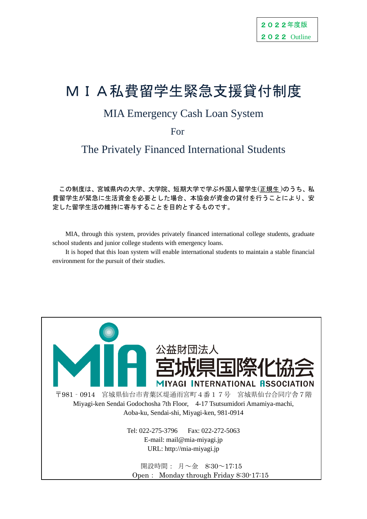# MIA私費留学生緊急支援貸付制度

# MIA Emergency Cash Loan System

For

The Privately Financed International Students

 この制度は、宮城県内の大学、大学院、短期大学で学ぶ外国人留学生(正規生 )のうち、私 費留学生が緊急に生活資金を必要とした場合、本協会が資金の貸付を行うことにより、安 定した留学生活の維持に寄与することを目的とするものです。

MIA, through this system, provides privately financed international college students, graduate school students and junior college students with emergency loans.

It is hoped that this loan system will enable international students to maintain a stable financial environment for the pursuit of their studies.

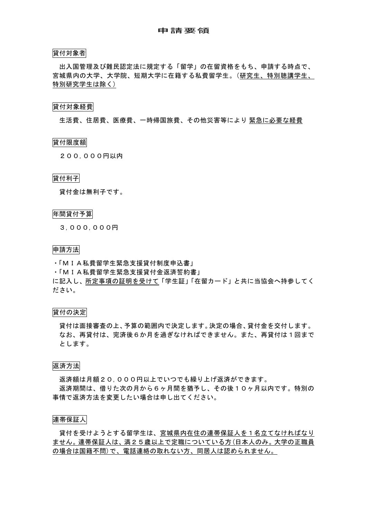#### 貸付対象者

 出入国管理及び難民認定法に規定する「留学」の在留資格をもち、申請する時点で、 宮城県内の大学、大学院、短期大学に在籍する私費留学生。(研究生、特別聴講学生、 特別研究学生は除く)

#### 貸付対象経費

生活費、住居費、医療費、一時帰国旅費、その他災害等により 緊急に必要な経費

#### 貸付限度額

200,000円以内

#### 貸付利子

貸付金は無利子です。

#### 年間貸付予算

3,000,000円

#### 申請方法

・「MIA私費留学生緊急支援貸付制度申込書」

・「MIA私費留学生緊急支援貸付金返済誓約書」

に記入し、所定事項の証明を受けて「学生証」「在留カード」と共に当協会へ持参してく ださい。

#### 貸付の決定

貸付は面接審査の上、予算の範囲内で決定します。決定の場合、貸付金を交付します。 なお、再貸付は、完済後6か月を過ぎなければできません。また、再貸付は1回まで とします。

#### 返済方法

返済額は月額20,000円以上でいつでも繰り上げ返済ができます。 返済期間は、借りた次の月から6ヶ月間を猶予し、その後10ヶ月以内です。特別の 事情で返済方法を変更したい場合は申し出てください。

#### 連帯保証人

貸付を受けようとする留学生は、宮城県内在住の連帯保証人を1名立てなければなり ません。連帯保証人は、満25歳以上で定職についている方(日本人のみ。大学の正職員 の場合は国籍不問)で、電話連絡の取れない方、同居人は認められません。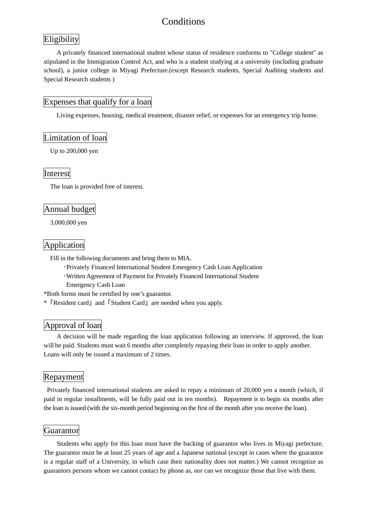## **Conditions**

## **Eligibility**

A privately financed international student whose status of residence conforms to "College student" as stipulated in the Immigration Control Act, and who is a student studying at a university (including graduate school), a junior college in Miyagi Prefecture.(except Research students, Special Auditing students and Special Research students )

## Expenses that qualify for a loan

Living expenses, housing, medical treatment, disaster relief, or expenses for an emergency trip home.

## Limitation of loan

Up to 200,000 yen

## Interest

The loan is provided free of interest.

## Annual budget

3,000,000 yen

## Application

Fill in the following documents and bring them to MIA.

- ・Privately Financed International Student Emergency Cash Loan Application
- ・Written Agreement of Payment for Privately Financed International Student
	- Emergency Cash Loan

\*Both forms must be certified by one's guarantor.

\*「Resident card」and「Student Card」are needed when you apply.

## Approval of loan

A decision will be made regarding the loan application following an interview. If approved, the loan will be paid. Students must wait 6 months after completely repaying their loan in order to apply another. Loans will only be issued a maximum of 2 times.

## Repayment

Privately financed international students are asked to repay a minimum of 20,000 yen a month (which, if paid in regular installments, will be fully paid out in ten months). Repayment is to begin six months after the loan is issued (with the six-month period beginning on the first of the month after you receive the loan).

## **Guarantor**

Students who apply for this loan must have the backing of guarantor who lives in Miyagi prefecture. The guarantor must be at least 25 years of age and a Japanese national (except in cases where the guarantor is a regular staff of a University, in which case their nationality does not matter.) We cannot recognize as guarantors persons whom we cannot contact by phone as, nor can we recognize those that live with them.